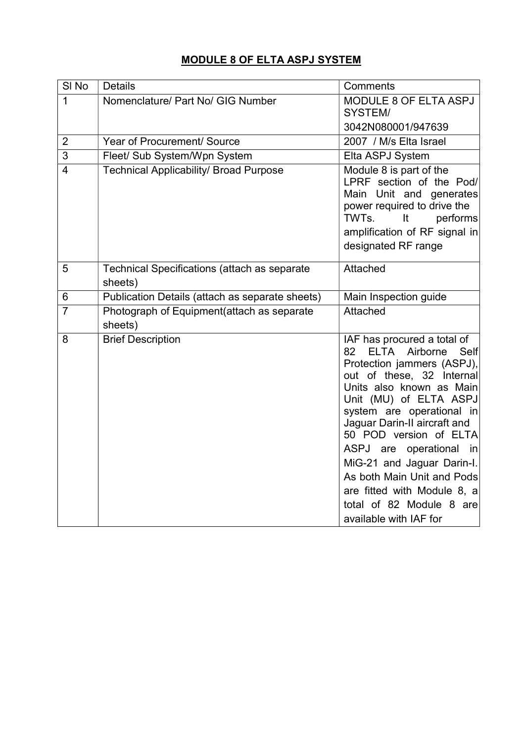|--|

| SI <sub>No</sub> | <b>Details</b>                                                 | Comments                                                                                                                                                                                                                                                                                                                                                                                                                                                 |
|------------------|----------------------------------------------------------------|----------------------------------------------------------------------------------------------------------------------------------------------------------------------------------------------------------------------------------------------------------------------------------------------------------------------------------------------------------------------------------------------------------------------------------------------------------|
| $\mathbf{1}$     | Nomenclature/ Part No/ GIG Number                              | MODULE 8 OF ELTA ASPJ<br>SYSTEM/                                                                                                                                                                                                                                                                                                                                                                                                                         |
|                  |                                                                | 3042N080001/947639                                                                                                                                                                                                                                                                                                                                                                                                                                       |
| $\overline{2}$   | Year of Procurement/ Source                                    | 2007 / M/s Elta Israel                                                                                                                                                                                                                                                                                                                                                                                                                                   |
| 3                | Fleet/ Sub System/Wpn System                                   | Elta ASPJ System                                                                                                                                                                                                                                                                                                                                                                                                                                         |
| $\overline{4}$   | <b>Technical Applicability/ Broad Purpose</b>                  | Module 8 is part of the<br>LPRF section of the Pod/<br>Main Unit and generates<br>power required to drive the<br>TWTs.<br>performs<br>It<br>amplification of RF signal in<br>designated RF range                                                                                                                                                                                                                                                         |
| 5                | <b>Technical Specifications (attach as separate</b><br>sheets) | Attached                                                                                                                                                                                                                                                                                                                                                                                                                                                 |
| 6                | Publication Details (attach as separate sheets)                | Main Inspection guide                                                                                                                                                                                                                                                                                                                                                                                                                                    |
| $\overline{7}$   | Photograph of Equipment(attach as separate<br>sheets)          | Attached                                                                                                                                                                                                                                                                                                                                                                                                                                                 |
| 8                | <b>Brief Description</b>                                       | IAF has procured a total of<br><b>ELTA</b><br>Airborne<br>Self<br>82<br>Protection jammers (ASPJ),<br>out of these, 32 Internal<br>Units also known as Main<br>Unit (MU) of ELTA ASPJ<br>system are operational in<br>Jaguar Darin-II aircraft and<br>50 POD version of ELTA<br>ASPJ are operational in<br>MiG-21 and Jaguar Darin-I.<br>As both Main Unit and Pods<br>are fitted with Module 8, a<br>total of 82 Module 8 are<br>available with IAF for |